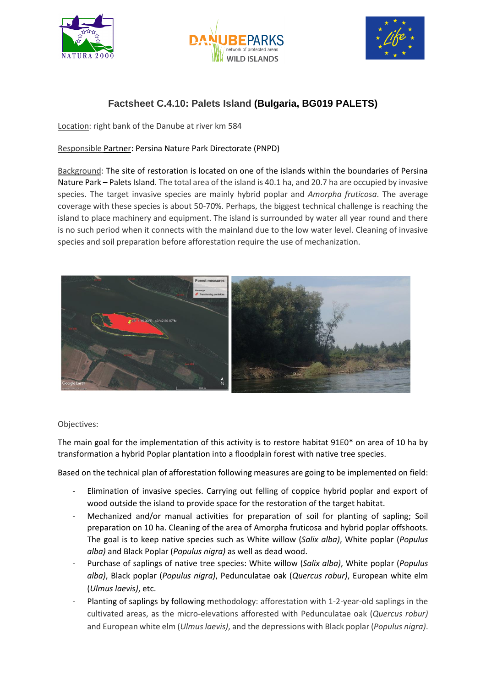





# **Factsheet C.4.10: Palets Island (Bulgaria, BG019 PALETS)**

Location: right bank of the Danube at river km 584

## Responsible Partner: Persina Nature Park Directorate (PNPD)

Background: The site of restoration is located on one of the islands within the boundaries of Persina Nature Park – Palets Island. The total area of the island is 40.1 ha, and 20.7 ha are occupied by invasive species. The target invasive species are mainly hybrid poplar and *Amorpha fruticosa*. The average coverage with these species is about 50-70%. Perhaps, the biggest technical challenge is reaching the island to place machinery and equipment. Тhe island is surrounded by water all year round and there is no such period when it connects with the mainland due to the low water level. Cleaning of invasive species and soil preparation before afforestation require the use of mechanization.



#### Objectives:

The main goal for the implementation of this activity is to restore habitat 91E0\* on area of 10 ha by transformation a hybrid Poplar plantation into a floodplain forest with native tree species.

Based on the technical plan of afforestation following measures are going to be implemented on field:

- Elimination of invasive species. Carrying out felling of coppice hybrid poplar and export of wood outside the island to provide space for the restoration of the target habitat.
- Mechanized and/or manual activities for preparation of soil for planting of sapling; Soil preparation on 10 ha. Cleaning of the area of Amorpha fruticosa and hybrid poplar offshoots. The goal is to keep native species such as White willow (*Salix alba)*, White poplar (*Populus alba)* and Black Poplar (*Populus nigra)* as well as dead wood.
- Purchase of saplings of native tree species: White willow (*Salix alba)*, White poplar (*Populus alba)*, Black poplar (*Populus nigra)*, Pedunculatae oak (*Quercus robur)*, European white elm (*Ulmus laevis)*, etc.
- Planting of saplings by following methodology: afforestation with 1-2-year-old saplings in the cultivated areas, as the micro-elevations afforested with Pedunculatae oak (*Quercus robur)* and European white elm (*Ulmus laevis)*, and the depressions with Black poplar (*Populus nigra)*.